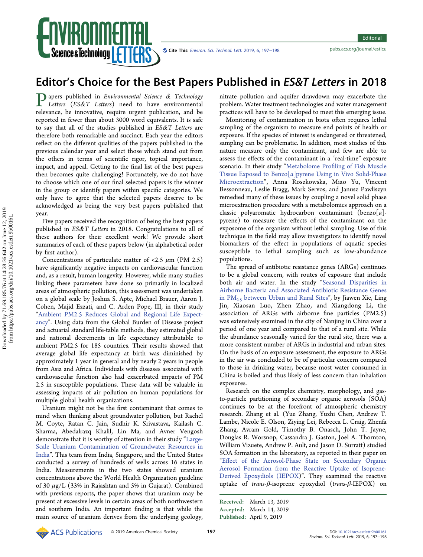

Cite This: Environ. Sci. Technol. Lett. 2019, 6, 197-198 <pubs.acs.org/journal/estlcu>

## Editor's Choice for the Best Papers Published in ES&T Letters in 2018

Papers published in Environmental Science & Technology Letters (ES&T Letters) need to have environmental relevance, be innovative, require urgent publication, and be reported in fewer than about 3000 word equivalents. It is safe to say that all of the studies published in ES&T Letters are therefore both remarkable and succinct. Each year the editors reflect on the different qualities of the papers published in the previous calendar year and select those which stand out from the others in terms of scientific rigor, topical importance, impact, and appeal. Getting to the final list of the best papers then becomes quite challenging! Fortunately, we do not have to choose which one of our final selected papers is the winner in the group or identify papers within specific categories. We only have to agree that the selected papers deserve to be acknowledged as being the very best papers published that year.

Five papers received the recognition of being the best papers published in ES&T Letters in 2018. Congratulations to all of these authors for their excellent work! We provide short summaries of each of these papers below (in alphabetical order by first author).

Concentrations of particulate matter of <2.5  $\mu$ m (PM 2.5) have significantly negative impacts on cardiovascular function and, as a result, human longevity. However, while many studies linking these parameters have done so primarily in localized areas of atmospheric pollution, this assessment was undertaken on a global scale by Joshua S. Apte, Michael Brauer, Aaron J. Cohen, Majid Ezzati, and C. Arden Pope, III, in their study "[Ambient PM2.5 Reduces Global and Regional Life Expect](https://pubs.acs.org/doi/10.1021/acs.estlett.8b00360)[ancy](https://pubs.acs.org/doi/10.1021/acs.estlett.8b00360)". Using data from the Global Burden of Disease project and actuarial standard life-table methods, they estimated global and national decrements in life expectancy attributable to ambient PM2.5 for 185 countries. Their results showed that average global life expectancy at birth was diminished by approximately 1 year in general and by nearly 2 years in people from Asia and Africa. Individuals with diseases associated with cardiovascular function also had exacerbated impacts of PM 2.5 in susceptible populations. These data will be valuable in assessing impacts of air pollution on human populations for multiple global health organizations.

Uranium might not be the first contaminant that comes to mind when thinking about groundwater pollution, but Rachel M. Coyte, Ratan C. Jain, Sudhir K. Srivastava, Kailash C. Sharma, Abedalrazq Khalil, Lin Ma, and Avner Vengosh demonstrate that it is worthy of attention in their study "[Large-](https://pubs.acs.org/doi/pdf/10.1021/acs.estlett.8b00215)[Scale Uranium Contamination of Groundwater Resources in](https://pubs.acs.org/doi/pdf/10.1021/acs.estlett.8b00215) [India](https://pubs.acs.org/doi/pdf/10.1021/acs.estlett.8b00215)". This team from India, Singapore, and the United States conducted a survey of hundreds of wells across 16 states in India. Measurements in the two states showed uranium concentrations above the World Health Organization guideline of 30  $\mu$ g/L (33% in Rajashtan and 5% in Gujarat). Combined with previous reports, the paper shows that uranium may be present at excessive levels in certain areas of both northwestern and southern India. An important finding is that while the main source of uranium derives from the underlying geology, nitrate pollution and aquifer drawdown may exacerbate the problem. Water treatment technologies and water management practices will have to be developed to meet this emerging issue.

Monitoring of contamination in biota often requires lethal sampling of the organism to measure end points of health or exposure. If the species of interest is endangered or threatened, sampling can be problematic. In addition, most studies of this nature measure only the contaminant, and few are able to assess the effects of the contaminant in a "real-time" exposure scenario. In their study "Metabolome Profi[ling of Fish Muscle](https://pubs.acs.org/doi/pdf/10.1021/acs.estlett.8b00272) Tissue Exposed to Benzo[a[\]pyrene Using in Vivo Solid-Phase](https://pubs.acs.org/doi/pdf/10.1021/acs.estlett.8b00272) [Microextraction](https://pubs.acs.org/doi/pdf/10.1021/acs.estlett.8b00272)", Anna Roszkowska, Miao Yu, Vincent Bessonneau, Leslie Bragg, Mark Servos, and Janusz Pawliszyn remedied many of these issues by coupling a novel solid phase microextraction procedure with a metabolomics approach on a classic polyaromatic hydrocarbon contaminant (benzo[a]pyrene) to measure the effects of the contaminant on the exposome of the organism without lethal sampling. Use of this technique in the field may allow investigators to identify novel biomarkers of the effect in populations of aquatic species susceptible to lethal sampling such as low-abundance populations.

The spread of antibiotic resistance genes (ARGs) continues to be a global concern, with routes of exposure that include both air and water. In the study "[Seasonal Disparities in](https://pubs.acs.org/doi/10.1021/acs.estlett.7b00561) [Airborne Bacteria and Associated Antibiotic Resistance Genes](https://pubs.acs.org/doi/10.1021/acs.estlett.7b00561) in PM2.5 [between Urban and Rural Sites](https://pubs.acs.org/doi/10.1021/acs.estlett.7b00561)", by Jiawen Xie, Ling Jin, Xiaosan Luo, Zhen Zhao, and Xiangdong Li, the association of ARGs with airborne fine particles (PM2.5) was extensively examined in the city of Nanjing in China over a period of one year and compared to that of a rural site. While the abundance seasonally varied for the rural site, there was a more consistent number of ARGs in industrial and urban sites. On the basis of an exposure assessment, the exposure to ARGs in the air was concluded to be of particular concern compared to those in drinking water, because most water consumed in China is boiled and thus likely of less concern than inhalation exposures.

Research on the complex chemistry, morphology, and gasto-particle partitioning of secondary organic aerosols (SOA) continues to be at the forefront of atmospheric chemistry research. Zhang et al. (Yue Zhang, Yuzhi Chen, Andrew T. Lambe, Nicole E. Olson, Ziying Lei, Rebecca L. Craig, Zhenfa Zhang, Avram Gold, Timothy B. Onasch, John T. Jayne, Douglas R. Worsnop, Cassandra J. Gaston, Joel A. Thornton, William Vizuete, Andrew P. Ault, and Jason D. Surratt) studied SOA formation in the laboratory, as reported in their paper on "Eff[ect of the Aerosol-Phase State on Secondary Organic](https://pubs.acs.org/doi/pdf/10.1021/acs.estlett.8b00044) [Aerosol Formation from the Reactive Uptake of Isoprene-](https://pubs.acs.org/doi/pdf/10.1021/acs.estlett.8b00044)[Derived Epoxydiols \(IEPOX](https://pubs.acs.org/doi/pdf/10.1021/acs.estlett.8b00044))". They examined the reactive uptake of trans-β-isoprene epoxydiol (trans-β-IEPOX) on

Received: March 13, 2019 Accepted: March 14, 2019 Published: April 9, 2019